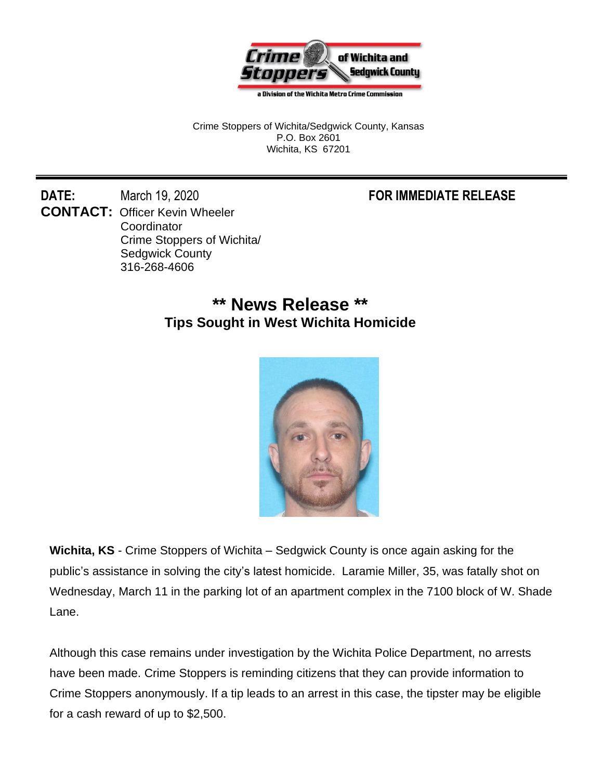

a Division of the Wichita Metro Crime Commission

Crime Stoppers of Wichita/Sedgwick County, Kansas P.O. Box 2601 Wichita, KS 67201

**DATE:** March 19, 2020 **FOR IMMEDIATE RELEASE CONTACT:** Officer Kevin Wheeler **Coordinator** Crime Stoppers of Wichita/ Sedgwick County 316-268-4606

## **\*\* News Release \*\* Tips Sought in West Wichita Homicide**



**Wichita, KS** - Crime Stoppers of Wichita – Sedgwick County is once again asking for the public's assistance in solving the city's latest homicide. Laramie Miller, 35, was fatally shot on Wednesday, March 11 in the parking lot of an apartment complex in the 7100 block of W. Shade Lane.

Although this case remains under investigation by the Wichita Police Department, no arrests have been made. Crime Stoppers is reminding citizens that they can provide information to Crime Stoppers anonymously. If a tip leads to an arrest in this case, the tipster may be eligible for a cash reward of up to \$2,500.